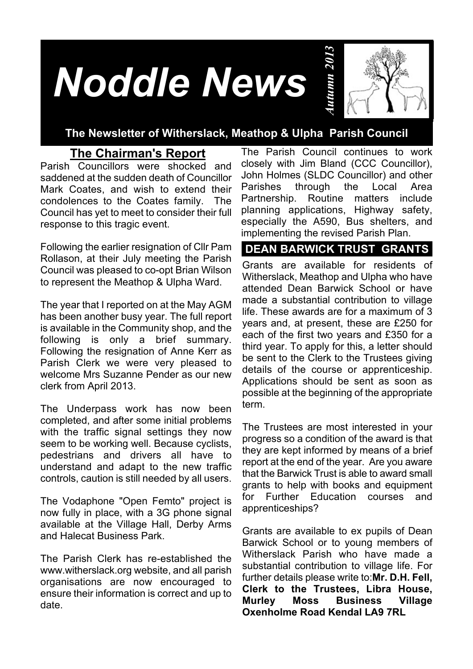# *Noddle News*



### **The Newsletter of Witherslack, Meathop & Ulpha Parish Council**

## **The Chairman's Report**

Parish Councillors were shocked and saddened at the sudden death of Councillor Mark Coates, and wish to extend their condolences to the Coates family. The Council has yet to meet to consider their full response to this tragic event.

Following the earlier resignation of Cllr Pam Rollason, at their July meeting the Parish Council was pleased to co-opt Brian Wilson to represent the Meathop & Ulpha Ward.

The year that I reported on at the May AGM has been another busy year. The full report is available in the Community shop, and the following is only a brief summary. Following the resignation of Anne Kerr as Parish Clerk we were very pleased to welcome Mrs Suzanne Pender as our new clerk from April 2013.

The Underpass work has now been completed, and after some initial problems with the traffic signal settings they now seem to be working well. Because cyclists, pedestrians and drivers all have to understand and adapt to the new traffic controls, caution is still needed by all users.

The Vodaphone "Open Femto" project is now fully in place, with a 3G phone signal available at the Village Hall, Derby Arms and Halecat Business Park.

The Parish Clerk has re-established the www.witherslack.org website, and all parish organisations are now encouraged to ensure their information is correct and up to date.

The Parish Council continues to work closely with Jim Bland (CCC Councillor), John Holmes (SLDC Councillor) and other Parishes through the Local Area Partnership. Routine matters include planning applications, Highway safety, especially the A590, Bus shelters, and implementing the revised Parish Plan.

## **DEAN BARWICK TRUST GRANTS**

made a substantial contribution to village Grants are available for residents of Witherslack, Meathop and Ulpha who have attended Dean Barwick School or have life. These awards are for a maximum of 3 years and, at present, these are £250 for each of the first two years and £350 for a third year. To apply for this, a letter should be sent to the Clerk to the Trustees giving details of the course or apprenticeship. Applications should be sent as soon as possible at the beginning of the appropriate term.

The Trustees are most interested in your progress so a condition of the award is that they are kept informed by means of a brief report at the end of the year. Are you aware that the Barwick Trust is able to award small grants to help with books and equipment for Further Education courses and apprenticeships?

Grants are available to ex pupils of Dean Barwick School or to young members of Witherslack Parish who have made a substantial contribution to village life. For further details please write to:**Mr. D.H. Fell, Clerk to the Trustees, Libra House, Business Village Oxenholme Road Kendal LA9 7RL**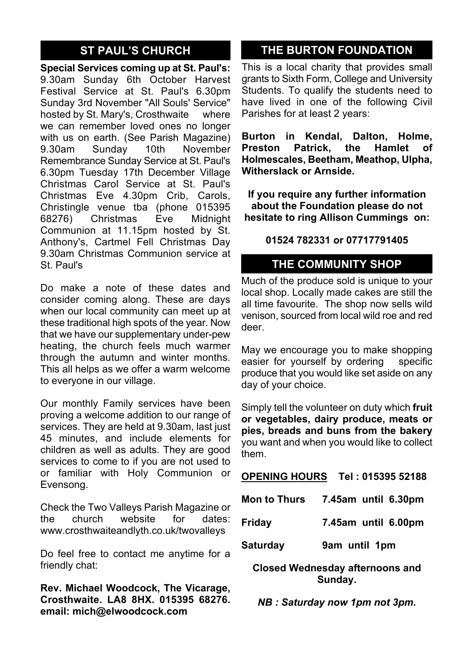## **ST PAUL'S CHURCH**

**Special Services coming up at St. Paul's:** 9.30am Sunday 6th October Harvest Festival Service at St. Paul's 6.30pm Sunday 3rd November "All Souls' Service" hosted by St. Mary's, Crosthwaite where we can remember loved ones no longer with us on earth. (See Parish Magazine) 9.30am Sunday 10th November Remembrance Sunday Service at St. Paul's 6.30pm Tuesday 17th December Village Christmas Carol Service at St. Paul's Christmas Eve 4.30pm Crib, Carols, Christingle venue tba (phone 015395<br>68276) Christmas Eve Midnight 68276) Christmas Communion at 11.15pm hosted by St. Anthony's, Cartmel Fell Christmas Day 9.30am Christmas Communion service at St. Paul's

Do make a note of these dates and consider coming along. These are days when our local community can meet up at these traditional high spots of the year. Now that we have our supplementary under-pew heating, the church feels much warmer through the autumn and winter months. This all helps as we offer a warm welcome to everyone in our village.

Our monthly Family services have been proving a welcome addition to our range of services. They are held at 9.30am, last just 45 minutes, and include elements for children as well as adults. They are good services to come to if you are not used to or familiar with Holy Communion or Evensong.

Check the Two Valleys Parish Magazine or the church website for dates: www.crosthwaiteandlyth.co.uk/twovalleys

Do feel free to contact me anytime for a friendly chat:

**Rev. Michael Woodcock, The Vicarage, Crosthwaite. LA8 8HX. 015395 68276. email: mich@elwoodcock.com**

## **THE BURTON FOUNDATION**

This is a local charity that provides small grants to Sixth Form, College and University Students. To qualify the students need to have lived in one of the following Civil Parishes for at least 2 years:

**Burton in Kendal, Dalton, Holme, Preston Patrick, the Hamlet of Holmescales, Beetham, Meathop, Ulpha, Witherslack or Arnside.**

**If you require any further information about the Foundation please do not hesitate to ring Allison Cummings on:**

**01524 782331 or 07717791405**

## **THE COMMUNITY SHOP**

Much of the produce sold is unique to your local shop. Locally made cakes are still the all time favourite. The shop now sells wild venison, sourced from local wild roe and red deer.

May we encourage you to make shopping easier for yourself by ordering specific produce that you would like set aside on any day of your choice.

Simply tell the volunteer on duty which **fruit or vegetables, dairy produce, meats or pies, breads and buns from the bakery** you want and when you would like to collect them.

#### **OPENING HOURS Tel : 015395 52188**

| <b>Mon to Thurs</b>                    | 7.45am until 6.30pm |
|----------------------------------------|---------------------|
| Friday                                 | 7.45am until 6.00pm |
| <b>Saturday</b>                        | 9am until 1pm       |
| <b>Closed Wednesday afternoons and</b> |                     |

**Sunday.**

*NB : Saturday now 1pm not 3pm.*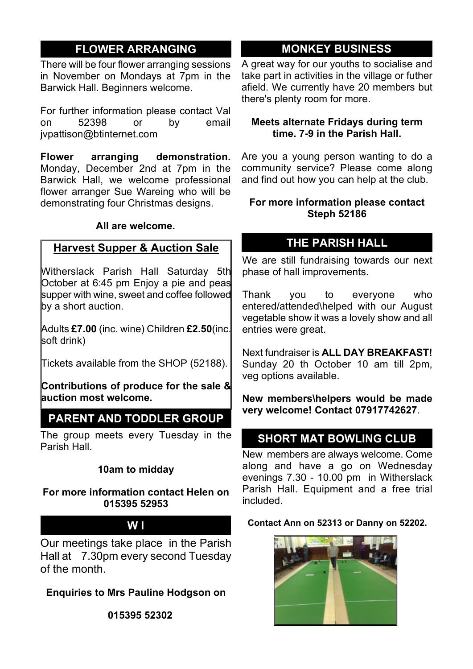## **FLOWER ARRANGING**

There will be four flower arranging sessions in November on Mondays at 7pm in the Barwick Hall. Beginners welcome.

For further information please contact Val<br>on 52398 or by email 52398 jvpattison@btinternet.com

**Flower arranging demonstration.** Monday, December 2nd at 7pm in the Barwick Hall, we welcome professional flower arranger Sue Wareing who will be demonstrating four Christmas designs.

#### **All are welcome.**

#### **Harvest Supper & Auction Sale**

Witherslack Parish Hall Saturday 5th October at 6:45 pm Enjoy a pie and peas supper with wine, sweet and coffee followed by a short auction.

Adults **£7.00** (inc. wine) Children **£2.50**(inc. soft drink)

Tickets available from the SHOP (52188).

**Contributions of produce for the sale & auction most welcome.**

## **PARENT AND TODDLER GROUP**

The group meets every Tuesday in the Parish Hall.

#### **10am to midday**

#### **For more information contact Helen on 015395 52953**

#### **W I**

Our meetings take place in the Parish Hall at 7.30pm every second Tuesday of the month.

**Enquiries to Mrs Pauline Hodgson on**

**015395 52302**

## **MONKEY BUSINESS**

A great way for our youths to socialise and take part in activities in the village or futher afield. We currently have 20 members but there's plenty room for more.

#### **Meets alternate Fridays during term time. 7-9 in the Parish Hall.**

Are you a young person wanting to do a community service? Please come along and find out how you can help at the club.

#### **For more information please contact Steph 52186**

## **THE PARISH HALL**

We are still fundraising towards our next phase of hall improvements.

Thank you to everyone who entered/attended\helped with our August vegetable show it was a lovely show and all entries were great.

Next fundraiser is **ALL DAY BREAKFAST!** Sunday 20 th October 10 am till 2pm, veg options available.

**New members\helpers would be made very welcome! Contact 07917742627**.

## **SHORT MAT BOWLING CLUB**

New members are always welcome. Come along and have a go on Wednesday evenings 7.30 - 10.00 pm in Witherslack Parish Hall. Equipment and a free trial included.

#### **Contact Ann on 52313 or Danny on 52202.**